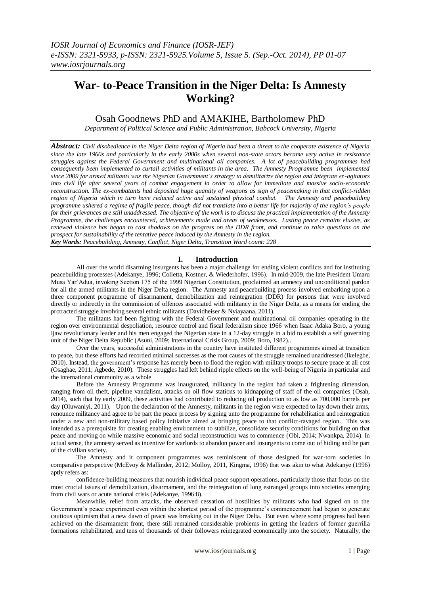# **War- to-Peace Transition in the Niger Delta: Is Amnesty Working?**

Osah Goodnews PhD and AMAKIHE, Bartholomew PhD

*Department of Political Science and Public Administration, Babcock University, Nigeria*

*Abstract: Civil disobedience in the Niger Delta region of Nigeria had been a threat to the cooperate existence of Nigeria since the late 1960s and particularly in the early 2000s when several non-state actors became very active in resistance struggles against the Federal Government and multinational oil companies. A lot of peacebuilding programmes had consequently been implemented to curtail activities of militants in the area. The Amnesty Programme been implemented since 2009 for armed militants was the Nigerian Government's strategy to demilitarize the region and integrate ex-agitators into civil life after several years of combat engagement in order to allow for immediate and massive socio-economic reconstruction. The ex-combatants had deposited huge quantity of weapons as sign of peacemaking in that conflict-ridden region of Nigeria which in turn have reduced active and sustained physical combat. The Amnesty and peacebuilding programme ushered a regime of fragile peace, though did not translate into a better life for majority of the region's people for their grievances are still unaddressed. The objective of the work is to discuss the practical implementation of the Amnesty Programme, the challenges encountered, achievements made and areas of weaknesses. Lasting peace remains elusive, as renewed violence has began to cast shadows on the progress on the DDR front, and continue to raise questions on the prospect for sustainability of the tentative peace induced by the Amnesty in the region. Key Words: Peacebuilding, Amnesty, Conflict, Niger Delta, Transition Word count: 228*

# **I. Introduction**

All over the world disarming insurgents has been a major challenge for ending violent conflicts and for instituting peacebuilding processes (Adekanye, 1996; Colletta, Kostner, & Wiederhofer, 1996). In mid-2009, the late President Umaru Musa Yar"Adua, invoking Section 175 of the 1999 Nigerian Constitution, proclaimed an amnesty and unconditional pardon for all the armed militants in the Niger Delta region. The Amnesty and peacebuilding process involved embarking upon a three component programme of disarmament, demobilization and reintegration (DDR) for persons that were involved directly or indirectly in the commission of offences associated with militancy in the Niger Delta, as a means for ending the protracted struggle involving several ethnic militants (Davidheiser & Nyiayaana, 2011).

The militants had been fighting with the Federal Government and multinational oil companies operating in the region over environmental despoliation, resource control and fiscal federalism since 1966 when Isaac Adaka Boro, a young Ijaw revolutionary leader and his men engaged the Nigerian state in a 12-day struggle in a bid to establish a self governing unit of the Niger Delta Republic (Asuni, 2009; International Crisis Group, 2009; Boro, 1982)..

Over the years, successful administrations in the country have instituted different programmes aimed at transition to peace, but these efforts had recorded minimal successes as the root causes of the struggle remained unaddressed (Ikelegbe, 2010). Instead, the government"s response has merely been to flood the region with military troops to secure peace at all cost (Osaghae, 2011; Agbede, 2010). These struggles had left behind ripple effects on the well-being of Nigeria in particular and the international community as a whole

Before the Amnesty Programme was inaugurated, militancy in the region had taken a frightening dimension, ranging from oil theft, pipeline vandalism, attacks on oil flow stations to kidnapping of staff of the oil companies (Osah, 2014), such that by early 2009, these activities had contributed to reducing oil production to as low as 700,000 barrels per day **(**Oluwaniyi, 2011). Upon the declaration of the Amnesty, militants in the region were expected to lay down their arms, renounce militancy and agree to be part the peace process by signing unto the programme for rehabilitation and reintegration under a new and non-military based policy initiative aimed at bringing peace to that conflict-ravaged region. This was intended as a prerequisite for creating enabling environment to stabilize, consolidate security conditions for building on that peace and moving on while massive economic and social reconstruction was to commence (Obi, 2014; Nwankpa, 2014). In actual sense, the amnesty served as incentive for warlords to abandon power and insurgents to come out of hiding and be part of the civilian society.

The Amnesty and it component programmes was reminiscent of those designed for war-torn societies in comparative perspective (McEvoy & Mallinder, 2012; Molloy, 2011, Kingma, 1996) that was akin to what Adekanye (1996) aptly refers as:

confidence-building measures that nourish individual peace support operations, particularly those that focus on the most crucial issues of demobilization, disarmament, and the reintegration of long estranged groups into societies emerging from civil wars or acute national crisis (Adekanye, 1996:8).

Meanwhile, relief from attacks, the observed cessation of hostilities by militants who had signed on to the Government's peace experiment even within the shortest period of the programme's commencement had began to generate cautious optimism that a new dawn of peace was breaking out in the Niger Delta. But even where some progress had been achieved on the disarmament front, there still remained considerable problems in getting the leaders of former guerrilla formations rehabilitated, and tens of thousands of their followers reintegrated economically into the society. Naturally, the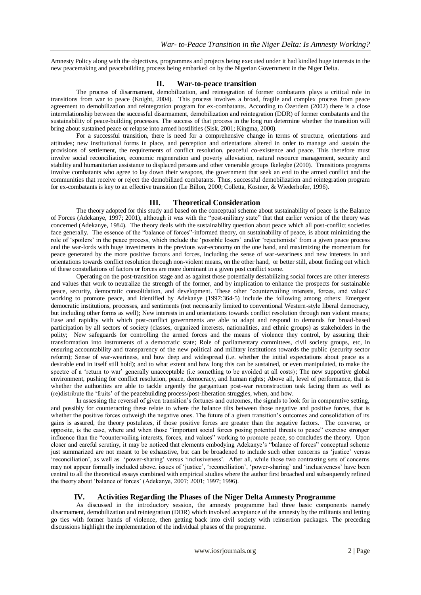Amnesty Policy along with the objectives, programmes and projects being executed under it had kindled huge interests in the new peacemaking and peacebuilding process being embarked on by the Nigerian Government in the Niger Delta.

### **II. War-to-peace transition**

The process of disarmament, demobilization, and reintegration of former combatants plays a critical role in transitions from war to peace (Knight, 2004).This process involves a broad, fragile and complex process from peace agreement to demobilization and reintegration program for ex-combatants. According to Özerdem (2002) there is a close interrelationship between the successful disarmament, demobilization and reintegration (DDR) of former combatants and the sustainability of peace-building processes. The success of that process in the long run determine whether the transition will bring about sustained peace or relapse into armed hostilities (Sisk, 2001; Kingma, 2000).

For a successful transition, there is need for a comprehensive change in terms of structure, orientations and attitudes; new institutional forms in place, and perception and orientations altered in order to manage and sustain the provisions of settlement, the requirements of conflict resolution, peaceful co-existence and peace. This therefore must involve social reconciliation, economic regeneration and poverty alleviation, natural resource management, security and stability and humanitarian assistance to displaced persons and other venerable groups Ikelegbe (2010). Transitions programs involve combatants who agree to lay down their weapons, the government that seek an end to the armed conflict and the communities that receive or reject the demobilized combatants. Thus, successful demobilization and reintegration program for ex-combatants is key to an effective transition (Le Billon, 2000; Colletta, Kostner, & Wiederhofer, 1996).

# **III. Theoretical Consideration**

The theory adopted for this study and based on the conceptual scheme about sustainability of peace is the Balance of Forces (Adekanye, 1997; 2001), although it was with the "post-military state" that that earlier version of the theory was concerned (Adekanye, 1984). The theory deals with the sustainability question about peace which all post-conflict societies face generally. The essence of the "balance of forces"-informed theory, on sustainability of peace, is about minimizing the role of 'spoilers' in the peace process, which include the 'possible losers' and/or 'rejectionists' from a given peace process and the war-lords with huge investments in the previous war-economy on the one hand, and maximizing the momentum for peace generated by the more positive factors and forces, including the sense of war-weariness and new interests in and orientations towards conflict resolution through non-violent means, on the other hand, or better still, about finding out which of these constellations of factors or forces are more dominant in a given post conflict scene.

Operating on the post-transition stage and as against those potentially destabilizing social forces are other interests and values that work to neutralize the strength of the former, and by implication to enhance the prospects for sustainable peace, security, democratic consolidation, and development. These other "countervailing interests, forces, and values" working to promote peace, and identified by Adekanye (1997:364-5) include the following among others: Emergent democratic institutions, processes, and sentiments (not necessarily limited to conventional Western-style liberal democracy, but including other forms as well); New interests in and orientations towards conflict resolution through non violent means; Ease and rapidity with which post-conflict governments are able to adapt and respond to demands for broad-based participation by all sectors of society (classes, organized interests, nationalities, and ethnic groups) as stakeholders in the polity; New safeguards for controlling the armed forces and the means of violence they control, by assuring their transformation into instruments of a democratic state; Role of parliamentary committees, civil society groups, etc, in ensuring accountability and transparency of the new political and military institutions towards the public (security sector reform); Sense of war-weariness, and how deep and widespread (i.e. whether the initial expectations about peace as a desirable end in itself still hold); and to what extent and how long this can be sustained, or even manipulated, to make the spectre of a 'return to war' generally unacceptable (i.e something to be avoided at all costs); The new supportive global environment, pushing for conflict resolution, peace, democracy, and human rights; Above all, level of performance, that is whether the authorities are able to tackle urgently the gargantuan post-war reconstruction task facing them as well as (re)distribute the "fruits" of the peacebuilding process/post-liberation struggles, when, and how.

In assessing the reversal of given transition"s fortunes and outcomes, the signals to look for in comparative setting, and possibly for counteracting these relate to where the balance tilts between those negative and positive forces, that is whether the positive forces outweigh the negative ones. The future of a given transition's outcomes and consolidation of its gains is assured, the theory postulates, if those positive forces are greater than the negative factors. The converse, or opposite, is the case, where and when those "important social forces posing potential threats to peace" exercise stronger influence than the "countervailing interests, forces, and values" working to promote peace, so concludes the theory. Upon closer and careful scrutiny, it may be noticed that elements embodying Adekanye"s "balance of forces" conceptual scheme just summarized are not meant to be exhaustive, but can be broadened to include such other concerns as "justice" versus "reconciliation", as well as "power-sharing" versus "inclusiveness". After all, while those two contrasting sets of concerns may not appear formally included above, issues of 'justice', 'reconciliation', 'power-sharing' and 'inclusiveness' have been central to all the theoretical essays combined with empirical studies where the author first broached and subsequently refined the theory about 'balance of forces' (Adekanye, 2007; 2001; 1997; 1996).

#### **IV. Activities Regarding the Phases of the Niger Delta Amnesty Programme**

As discussed in the introductory session, the amnesty programme had three basic components namely disarmament, demobilization and reintegration (DDR) which involved acceptance of the amnesty by the militants and letting go ties with former bands of violence, then getting back into civil society with reinsertion packages. The preceding discussions highlight the implementation of the individual phases of the programme.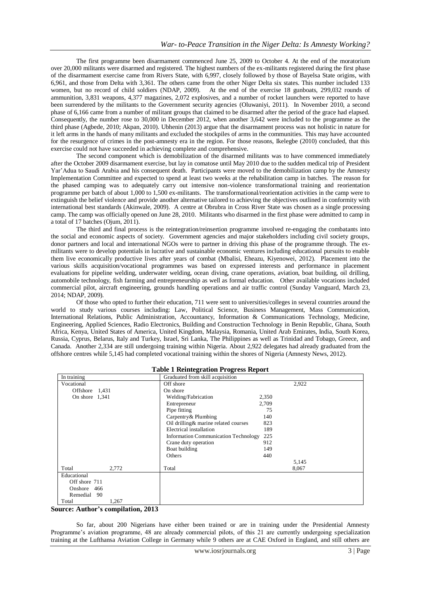The first programme been disarmament commenced June 25, 2009 to October 4. At the end of the moratorium over 20,000 militants were disarmed and registered. The highest numbers of the ex-militants registered during the first phase of the disarmament exercise came from Rivers State, with 6,997, closely followed by those of Bayelsa State origins, with 6,961, and those from Delta with 3,361. The others came from the other Niger Delta six states. This number included 133 women, but no record of child soldiers (NDAP, 2009). At the end of the exercise 18 gunboats, 299,032 rounds of ammunition, 3,831 weapons, 4,377 magazines, 2,072 explosives, and a number of rocket launchers were reported to have been surrendered by the militants to the Government security agencies (Oluwaniyi, 2011). In November 2010, a second phase of 6,166 came from a number of militant groups that claimed to be disarmed after the period of the grace had elapsed. Consequently, the number rose to 30,000 in December 2012, when another 3,642 were included to the programme as the third phase (Agbede, 2010; Akpan, 2010). Ubhenin (2013) argue that the disarmament process was not holistic in nature for it left arms in the hands of many militants and excluded the stockpiles of arms in the communities. This may have accounted for the resurgence of crimes in the post-amnesty era in the region. For those reasons, Ikelegbe (2010) concluded, that this exercise could not have succeeded in achieving complete and comprehensive.

The second component which is demobilization of the disarmed militants was to have commenced immediately after the October 2009 disarmament exercise, but lay in comatose until May 2010 due to the sudden medical trip of President Yar"Adua to Saudi Arabia and his consequent death. Participants were moved to the demobilization camp by the Amnesty Implementation Committee and expected to spend at least two weeks at the rehabilitation camp in batches. The reason for the phased camping was to adequately carry out intensive non-violence transformational training and reorientation programme per batch of about 1,000 to 1,500 ex-militants. The transformational/reorientation activities in the camp were to extinguish the belief violence and provide another alternative tailored to achieving the objectives outlined in conformity with international best standards (Akinwale, 2009). A centre at Obrubra in Cross River State was chosen as a single processing camp. The camp was officially opened on June 28, 2010. Militants who disarmed in the first phase were admitted to camp in a total of 17 batches (Ojum, 2011).

The third and final process is the reintegration/reinsertion programme involved re-engaging the combatants into the social and economic aspects of society. Government agencies and major stakeholders including civil society groups, donor partners and local and international NGOs were to partner in driving this phase of the programme through. The exmilitants were to develop potentials in lucrative and sustainable economic ventures including educational pursuits to enable them live economically productive lives after years of combat (Mbalisi, Eheazu, Kiyenowei, 2012). Placement into the various skills acquisition/vocational programmes was based on expressed interests and performance in placement evaluations for pipeline welding, underwater welding, ocean diving, crane operations, aviation, boat building, oil drilling, automobile technology, fish farming and entrepreneurship as well as formal education. Other available vocations included commercial pilot, aircraft engineering, grounds handling operations and air traffic control (Sunday Vanguard, March 23, 2014; NDAP, 2009).

Of those who opted to further their education, 711 were sent to universities/colleges in several countries around the world to study various courses including: Law, Political Science, Business Management, Mass Communication, International Relations, Public Administration, Accountancy, Information & Communications Technology, Medicine, Engineering, Applied Sciences, Radio Electronics, Building and Construction Technology in Benin Republic, Ghana, South Africa, Kenya, United States of America, United Kingdom, Malaysia, Romania, United Arab Emirates, India, South Korea, Russia, Cyprus, Belarus, Italy and Turkey, Israel, Sri Lanka, The Philippines as well as Trinidad and Tobago, Greece, and Canada. Another 2,334 are still undergoing training within Nigeria. About 2,922 delegates had already graduated from the offshore centres while 5,145 had completed vocational training within the shores of Nigeria (Amnesty News, 2012).

| Table 1 Remiegration 110gress Report |                                             |       |       |  |  |  |  |
|--------------------------------------|---------------------------------------------|-------|-------|--|--|--|--|
| In training                          | Graduated from skill acquisition            |       |       |  |  |  |  |
| Vocational                           | Off shore                                   |       | 2,922 |  |  |  |  |
| Offshore 1,431                       | On shore                                    |       |       |  |  |  |  |
| On shore $1,341$                     | Welding/Fabrication                         | 2,350 |       |  |  |  |  |
|                                      | Entrepreneur                                | 2,709 |       |  |  |  |  |
|                                      | Pipe fitting                                | 75    |       |  |  |  |  |
|                                      | Carpentry & Plumbing                        | 140   |       |  |  |  |  |
|                                      | Oil drilling & marine related courses       | 823   |       |  |  |  |  |
|                                      | Electrical installation                     | 189   |       |  |  |  |  |
|                                      | <b>Information Communication Technology</b> | 225   |       |  |  |  |  |
|                                      | Crane duty operation                        | 912   |       |  |  |  |  |
|                                      | Boat building                               | 149   |       |  |  |  |  |
|                                      | Others                                      | 440   |       |  |  |  |  |
|                                      |                                             |       | 5,145 |  |  |  |  |
| Total<br>2,772                       | Total                                       |       | 8,067 |  |  |  |  |
| Educational                          |                                             |       |       |  |  |  |  |
| Off shore 711                        |                                             |       |       |  |  |  |  |
| Onshore 466                          |                                             |       |       |  |  |  |  |
| Remedial 90                          |                                             |       |       |  |  |  |  |
| 1,267<br>Total                       |                                             |       |       |  |  |  |  |

#### **Table 1 Reintegration Progress Report**

**Source: Author's compilation, 2013**

So far, about 200 Nigerians have either been trained or are in training under the Presidential Amnesty Programme's aviation programme, 48 are already commercial pilots, of this 21 are currently undergoing specialization training at the Lufthansa Aviation College in Germany while 9 others are at CAE Oxford in England, and still others are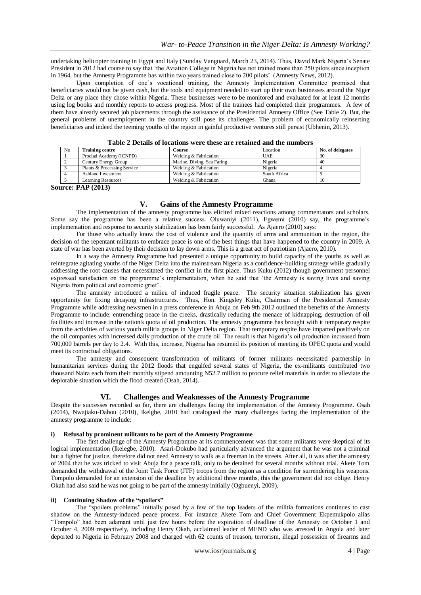undertaking helicopter training in Egypt and Italy (Sunday Vanguard, March 23, 2014). Thus, David Mark Nigeria"s Senate President in 2012 had course to say that "the Aviation College in Nigeria has not trained more than 250 pilots since inception in 1964, but the Amnesty Programme has within two years trained close to 200 pilots" (Amnesty News, 2012).

Upon completion of one"s vocational training, the Amnesty Implementation Committee promised that beneficiaries would not be given cash, but the tools and equipment needed to start up their own businesses around the Niger Delta or any place they chose within Nigeria. These businesses were to be monitored and evaluated for at least 12 months using log books and monthly reports to access progress. Most of the trainees had completed their programmes. A few of them have already secured job placements through the assistance of the Presidential Amnesty Office (See Table 2). But, the general problems of unemployment in the country still pose its challenges. The problem of economically reinserting beneficiaries and indeed the teeming youths of the region in gainful productive ventures still persist (Ubhenin, 2013).

| N <sub>0</sub> | <b>Training centre</b>                    | <b>Course</b>              | Location     | No. of delegates |  |  |
|----------------|-------------------------------------------|----------------------------|--------------|------------------|--|--|
|                | Proclad Academy (ICNPD)                   | Welding & Fabrication      | <b>UAE</b>   | 30               |  |  |
|                | Century Energy Group                      | Marine, Diving, Sea Faring | Nigeria      | 40               |  |  |
|                | Plants & Processing Service               | Welding & Fabrication      | Nigeria      |                  |  |  |
|                | <b>Ashland Investment</b>                 | Welding & Fabrication      | South Africa |                  |  |  |
|                | Learning Resources                        | Welding & Fabrication      | Ghana        | 10               |  |  |
|                | $\sim$ $\sim$ $\sim$ $\sim$ $\sim$ $\sim$ |                            |              |                  |  |  |

|  |  | Table 2 Details of locations were these are retained and the numbers |
|--|--|----------------------------------------------------------------------|
|--|--|----------------------------------------------------------------------|

**Source: PAP (2013)** 

#### **V. Gains of the Amnesty Programme**

The implementation of the amnesty programme has elicited mixed reactions among commentators and scholars. Some say the programme has been a relative success. Oluwaniyi (2011), Egwemi (2010) say, the programme's implementation and response to security stabilization has been fairly successful. As Ajaero (2010) says:

For those who actually know the cost of violence and the quantity of arms and ammunition in the region, the decision of the repentant militants to embrace peace is one of the best things that have happened to the country in 2009. A state of war has been averted by their decision to lay down arms. This is a great act of patriotism (Ajaero, 2010).

In a way the Amnesty Programme had presented a unique opportunity to build capacity of the youths as well as reintegrate agitating youths of the Niger Delta into the mainstream Nigeria as a confidence-building strategy while gradually addressing the root causes that necessitated the conflict in the first place. Thus Kuku (2012) though government personnel expressed satisfaction on the programme"s implementation, when he said that "the Amnesty is saving lives and saving Nigeria from political and economic grief".

The amnesty introduced a milieu of induced fragile peace. The security situation stabilization has given opportunity for fixing decaying infrastructures. Thus, Hon. Kingsley Kuku, Chairman of the Presidential Amnesty Programme while addressing newsmen in a press conference in Abuja on Feb 9th 2012 outlined the benefits of the Amnesty Programme to include: entrenching peace in the creeks, drastically reducing the menace of kidnapping, destruction of oil facilities and increase in the nation's quota of oil production. The amnesty programme has brought with it temporary respite from the activities of various youth militia groups in Niger Delta region. That temporary respite have imparted positively on the oil companies with increased daily production of the crude oil. The result is that Nigeria's oil production increased from 700,000 barrels per day to 2.4. With this, increase, Nigeria has resumed its position of meeting its OPEC quota and would meet its contractual obligations.

The amnesty and consequent transformation of militants of former militants necessitated partnership in humanitarian services during the 2012 floods that engulfed several states of Nigeria, the ex-militants contributed two thousand Naira each from their monthly stipend amounting N52.7 million to procure relief materials in order to alleviate the deplorable situation which the flood created (Osah, 2014).

## **VI. Challenges and Weaknesses of the Amnesty Programme**

Despite the successes recorded so far, there are challenges facing the implementation of the Amnesty Programme. Osah (2014), Nwajiaku-Dahou (2010), Ikelgbe, 2010 had catalogued the many challenges facing the implementation of the amnesty programme to include:

#### **i) Refusal by prominent militants to be part of the Amnesty Programme**

The first challenge of the Amnesty Programme at its commencement was that some militants were skeptical of its logical implementation (Ikelegbe, 2010). Asari-Dokubo had particularly advanced the argument that he was not a criminal but a fighter for justice, therefore did not need Amnesty to walk as a freeman in the streets. After all, it was after the amnesty of 2004 that he was tricked to visit Abuja for a peace talk, only to be detained for several months without trial. Akete Tom demanded the withdrawal of the Joint Task Force (JTF) troops from the region as a condition for surrendering his weapons. Tompolo demanded for an extension of the deadline by additional three months, this the government did not oblige. Henry Okah had also said he was not going to be part of the amnesty initially (Ogbuenyi, 2009).

#### **ii) Continuing Shadow of the "spoilers"**

The "spoilers problems" initially posed by a few of the top leaders of the militia formations continues to cast shadow on the Amnesty-induced peace process. For instance Akete Tom and Chief Government Ekpemukpolo alias "Tompolo" had been adamant until just few hours before the expiration of deadline of the Amnesty on October 1 and October 4, 2009 respectively, including Henry Okah, acclaimed leader of MEND who was arrested in Angola and later deported to Nigeria in February 2008 and charged with 62 counts of treason, terrorism, illegal possession of firearms and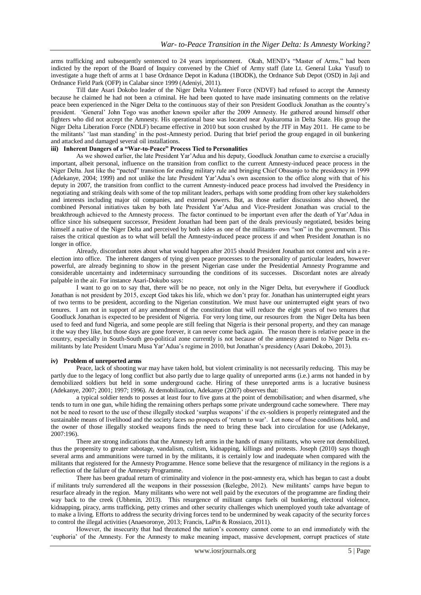arms trafficking and subsequently sentenced to 24 years imprisonment. Okah, MEND"s "Master of Arms," had been indicted by the report of the Board of Inquiry convened by the Chief of Army staff (late Lt. General Luka Yusuf) to investigate a huge theft of arms at 1 base Ordnance Depot in Kaduna (1BODK), the Ordnance Sub Depot (OSD) in Jaji and Ordnance Field Park (OFP) in Calabar since 1999 (Adeniyi, 2011).

Till date Asari Dokobo leader of the Niger Delta Volunteer Force (NDVF) had refused to accept the Amnesty because he claimed he had not been a criminal. He had been quoted to have made insinuating comments on the relative peace been experienced in the Niger Delta to the continuous stay of their son President Goodluck Jonathan as the country"s president. "General" John Togo was another known spoiler after the 2009 Amnesty. He gathered around himself other fighters who did not accept the Amnesty. His operational base was located near Ayakuroma in Delta State. His group the Niger Delta Liberation Force (NDLF) became effective in 2010 but soon crushed by the JTF in May 2011. He came to be the militants" "last man standing" in the post-Amnesty period. During that brief period the group engaged in oil bunkering and attacked and damaged several oil installations.

#### **iii) Inherent Dangers of a "War-to-Peace" Process Tied to Personalities**

As we showed earlier, the late President Yar"Adua and his deputy, Goodluck Jonathan came to exercise a crucially important, albeit personal, influence on the transition from conflict to the current Amnesty-induced peace process in the Niger Delta. Just like the "pacted" transition for ending military rule and bringing Chief Obasanjo to the presidency in 1999 (Adekanye, 2004; 1999) and not unlike the late President Yar"Adua"s own ascension to the office along with that of his deputy in 2007, the transition from conflict to the current Amnesty-induced peace process had involved the Presidency in negotiating and striking deals with some of the top militant leaders, perhaps with some prodding from other key stakeholders and interests including major oil companies, and external powers. But, as those earlier discussions also showed, the combined Personal initiatives taken by both late President Yar"Adua and Vice-President Jonathan was crucial to the breakthrough achieved to the Amnesty process. The factor continued to be important even after the death of Yar"Adua in office since his subsequent successor, President Jonathan had been part of the deals previously negotiated, besides being himself a native of the Niger Delta and perceived by both sides as one of the militants- own "son" in the government. This raises the critical question as to what will befall the Amnesty-induced peace process if and when President Jonathan is no longer in office.

Already, discordant notes about what would happen after 2015 should President Jonathan not contest and win a reelection into office. The inherent dangers of tying given peace processes to the personality of particular leaders, however powerful, are already beginning to show in the present Nigerian case under the Presidential Amnesty Programme and considerable uncertainty and indeterminacy surrounding the conditions of its successes. Discordant notes are already palpable in the air. For instance Asari-Dokubo says:

I want to go on to say that, there will be no peace, not only in the Niger Delta, but everywhere if Goodluck Jonathan is not president by 2015, except God takes his life, which we don"t pray for. Jonathan has uninterrupted eight years of two terms to be president, according to the Nigerian constitution. We must have our uninterrupted eight years of two tenures. I am not in support of any amendment of the constitution that will reduce the eight years of two tenures that Goodluck Jonathan is expected to be president of Nigeria. For very long time, our resources from the Niger Delta has been used to feed and fund Nigeria, and some people are still feeling that Nigeria is their personal property, and they can manage it the way they like, but those days are gone forever, it can never come back again. The reason there is relative peace in the country, especially in South-South geo-political zone currently is not because of the amnesty granted to Niger Delta exmilitants by late President Umaru Musa Yar"Adua"s regime in 2010, but Jonathan"s presidency (Asari Dokobo, 2013).

#### **iv) Problem of unreported arms**

Peace, lack of shooting war may have taken hold, but violent criminality is not necessarily reducing. This may be partly due to the legacy of long conflict but also partly due to large quality of unreported arms (i.e.) arms not handed in by demobilized soldiers but held in some underground cache. Hiring of these unreported arms is a lucrative business (Adekanye, 2007; 2001; 1997; 1996). At demobilization, Adekanye (2007) observes that:

a typical soldier tends to posses at least four to five guns at the point of demobilisation; and when disarmed, s/he tends to turn in one gun, while hiding the remaining others perhaps some private underground cache somewhere. There may not be need to resort to the use of these illegally stocked "surplus weapons" if the ex-soldiers is properly reintegrated and the sustainable means of livelihood and the society faces no prospects of 'return to war'. Let none of those conditions hold, and the owner of those illegally stocked weapons finds the need to bring these back into circulation for use (Adekanye, 2007:196).

There are strong indications that the Amnesty left arms in the hands of many militants, who were not demobilized, thus the propensity to greater sabotage, vandalism, cultism, kidnapping, killings and protests. Joseph (2010) says though several arms and ammunitions were turned in by the militants, it is certainly low and inadequate when compared with the militants that registered for the Amnesty Programme. Hence some believe that the resurgence of militancy in the regions is a reflection of the failure of the Amnesty Programme.

There has been gradual return of criminality and violence in the post-amnesty era, which has began to cast a doubt if militants truly surrendered all the weapons in their possession (Ikelegbe, 2012). New militants" camps have begun to resurface already in the region. Many militants who were not well paid by the executors of the programme are finding their way back to the creek (Ubhenin, 2013). This resurgence of militant camps fuels oil bunkering, electoral violence, kidnapping, piracy, arms trafficking, petty crimes and other security challenges which unemployed youth take advantage of to make a living. Efforts to address the security driving forces tend to be undermined by weak capacity of the security forces to control the illegal activities (Anaesoronye, 2013; Francis, LaPin & Rossiaco, 2011).

However, the insecurity that had threatened the nation"s economy cannot come to an end immediately with the "euphoria" of the Amnesty. For the Amnesty to make meaning impact, massive development, corrupt practices of state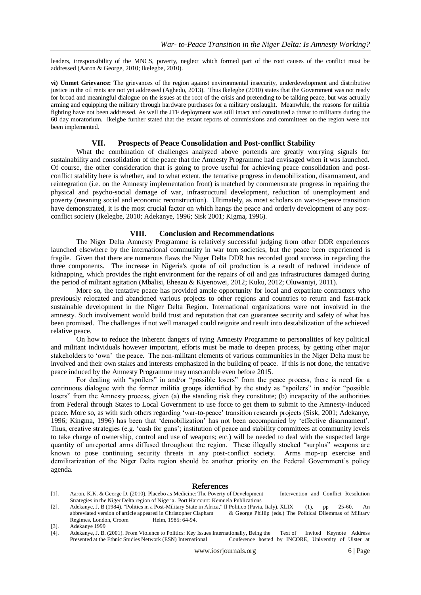leaders, irresponsibility of the MNCS, poverty, neglect which formed part of the root causes of the conflict must be addressed (Aaron & George, 2010; Ikelegbe, 2010).

**vi) Unmet Grievance:** The grievances of the region against environmental insecurity, underdevelopment and distributive justice in the oil rents are not yet addressed (Aghedo, 2013). Thus Ikelegbe (2010) states that the Government was not ready for broad and meaningful dialogue on the issues at the root of the crisis and pretending to be talking peace, but was actually arming and equipping the military through hardware purchases for a military onslaught. Meanwhile, the reasons for militia fighting have not been addressed. As well the JTF deployment was still intact and constituted a threat to militants during the 60 day moratorium. Ikelgbe further stated that the extant reports of commissions and committees on the region were not been implemented.

#### **VII. Prospects of Peace Consolidation and Post-conflict Stability**

What the combination of challenges analyzed above portends are greatly worrying signals for sustainability and consolidation of the peace that the Amnesty Programme had envisaged when it was launched. Of course, the other consideration that is going to prove useful for achieving peace consolidation and postconflict stability here is whether, and to what extent, the tentative progress in demobilization, disarmament, and reintegration (i.e. on the Amnesty implementation front) is matched by commensurate progress in repairing the physical and psycho-social damage of war, infrastructural development, reduction of unemployment and poverty (meaning social and economic reconstruction). Ultimately, as most scholars on war-to-peace transition have demonstrated, it is the most crucial factor on which hangs the peace and orderly development of any postconflict society (Ikelegbe, 2010; Adekanye, 1996; Sisk 2001; Kigma, 1996).

## **VIII. Conclusion and Recommendations**

The Niger Delta Amnesty Programme is relatively successful judging from other DDR experiences launched elsewhere by the international community in war torn societies, but the peace been experienced is fragile. Given that there are numerous flaws the Niger Delta DDR has recorded good success in regarding the three components. The increase in Nigeria's quota of oil production is a result of reduced incidence of kidnapping, which provides the right environment for the repairs of oil and gas infrastructures damaged during the period of militant agitation (Mbalisi, Eheazu & Kiyenowei, 2012; Kuku, 2012; Oluwaniyi, 2011).

More so, the tentative peace has provided ample opportunity for local and expatriate contractors who previously relocated and abandoned various projects to other regions and countries to return and fast-track sustainable development in the Niger Delta Region. International organizations were not involved in the amnesty. Such involvement would build trust and reputation that can guarantee security and safety of what has been promised. The challenges if not well managed could reignite and result into destabilization of the achieved relative peace.

On how to reduce the inherent dangers of tying Amnesty Programme to personalities of key political and militant individuals however important, efforts must be made to deepen process, by getting other major stakeholders to "own" the peace. The non-militant elements of various communities in the Niger Delta must be involved and their own stakes and interests emphasized in the building of peace. If this is not done, the tentative peace induced by the Amnesty Programme may unscramble even before 2015.

For dealing with "spoilers" in and/or "possible losers" from the peace process, there is need for a continuous dialogue with the former militia groups identified by the study as "spoilers" in and/or "possible losers" from the Amnesty process, given (a) the standing risk they constitute; (b) incapacity of the authorities from Federal through States to Local Government to use force to get them to submit to the Amnesty-induced peace. More so, as with such others regarding "war-to-peace" transition research projects (Sisk, 2001; Adekanye, 1996; Kingma, 1996) has been that "demobilization" has not been accompanied by "effective disarmament". Thus, creative strategies (e.g. 'cash for guns'; institution of peace and stability committees at community levels to take charge of ownership, control and use of weapons; etc.) will be needed to deal with the suspected large quantity of unreported arms diffused throughout the region. These illegally stocked "surplus" weapons are known to pose continuing security threats in any post-conflict society. Arms mop-up exercise and demilitarization of the Niger Delta region should be another priority on the Federal Government's policy agenda.

#### **References**

- [1]. Aaron, K.K. & George D. (2010). Placebo as Medicine: The Poverty of Development Intervention and Conflict Resolution Strategies in the Niger Delta region of Nigeria. Port Harcourt: Kemuela Publications
- [2]. Adekanye, J. B (1984). "Politics in a Post-Military State in Africa," Il Politico (Pavia, Italy), XLIX (1), pp 25-60. An abbreviated version of article appeared in Christopher Clapham Regimes, London, Croom Helm, 1985: 64-94.
- [3]. Adekanye 1999
- [4]. Adekanye, J. B. (2001). From Violence to Politics: Key Issues Internationally, Being the Text of Invited Keynote Address Presented at the Ethnic Studies Network (ESN) International Conference hosted by INCORE, University of Ulster at